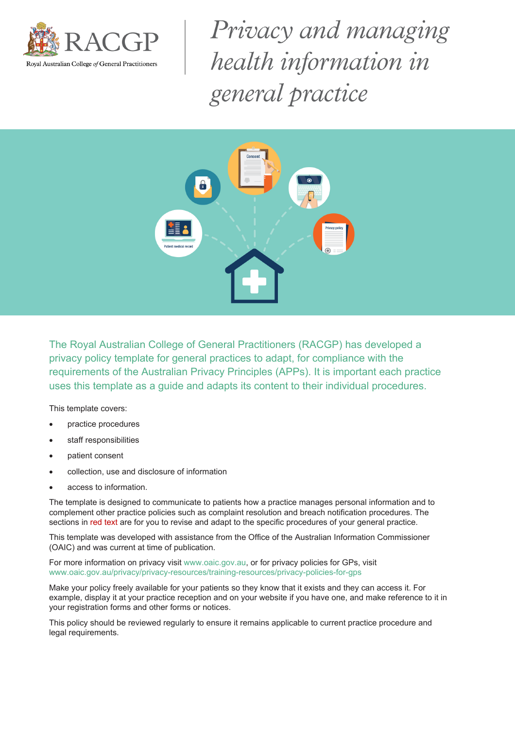

Privacy and managing health information in general practice



The Royal Australian College of General Practitioners (RACGP) has developed a privacy policy template for general practices to adapt, for compliance with the requirements of the Australian Privacy Principles (APPs). It is important each practice uses this template as a guide and adapts its content to their individual procedures.

This template covers:

- practice procedures
- staff responsibilities
- patient consent
- collection, use and disclosure of information
- access to information.

The template is designed to communicate to patients how a practice manages personal information and to complement other practice policies such as complaint resolution and breach notification procedures. The sections in red text are for you to revise and adapt to the specific procedures of your general practice.

This template was developed with assistance from the Office of the Australian Information Commissioner (OAIC) and was current at time of publication.

For more information on privacy visit www.oaic.gov.au, or for privacy policies for GPs, visit www.oaic.gov.au/privacy/privacy-resources/training-resources/privacy-policies-for-gps

Make your policy freely available for your patients so they know that it exists and they can access it. For example, display it at your practice reception and on your website if you have one, and make reference to it in your registration forms and other forms or notices.

This policy should be reviewed regularly to ensure it remains applicable to current practice procedure and legal requirements.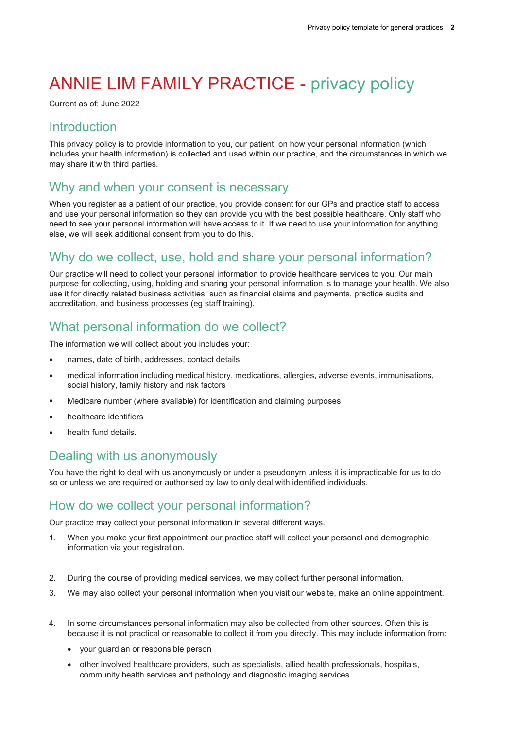# ANNIE LIM FAMILY PRACTICE - privacy policy

Current as of: June 2022

#### **Introduction**

This privacy policy is to provide information to you, our patient, on how your personal information (which includes your health information) is collected and used within our practice, and the circumstances in which we may share it with third parties.

#### Why and when your consent is necessary

When you register as a patient of our practice, you provide consent for our GPs and practice staff to access and use your personal information so they can provide you with the best possible healthcare. Only staff who need to see your personal information will have access to it. If we need to use your information for anything else, we will seek additional consent from you to do this.

#### Why do we collect, use, hold and share your personal information?

Our practice will need to collect your personal information to provide healthcare services to you. Our main purpose for collecting, using, holding and sharing your personal information is to manage your health. We also use it for directly related business activities, such as financial claims and payments, practice audits and accreditation, and business processes (eg staff training).

# What personal information do we collect?

The information we will collect about you includes your:

- names, date of birth, addresses, contact details
- medical information including medical history, medications, allergies, adverse events, immunisations, social history, family history and risk factors
- Medicare number (where available) for identification and claiming purposes
- healthcare identifiers
- health fund details.

#### Dealing with us anonymously

You have the right to deal with us anonymously or under a pseudonym unless it is impracticable for us to do so or unless we are required or authorised by law to only deal with identified individuals.

#### How do we collect your personal information?

Our practice may collect your personal information in several different ways.

- 1. When you make your first appointment our practice staff will collect your personal and demographic information via your registration.
- 2. During the course of providing medical services, we may collect further personal information.
- 3. We may also collect your personal information when you visit our website, make an online appointment.
- 4. In some circumstances personal information may also be collected from other sources. Often this is because it is not practical or reasonable to collect it from you directly. This may include information from:
	- vour quardian or responsible person
	- other involved healthcare providers, such as specialists, allied health professionals, hospitals, community health services and pathology and diagnostic imaging services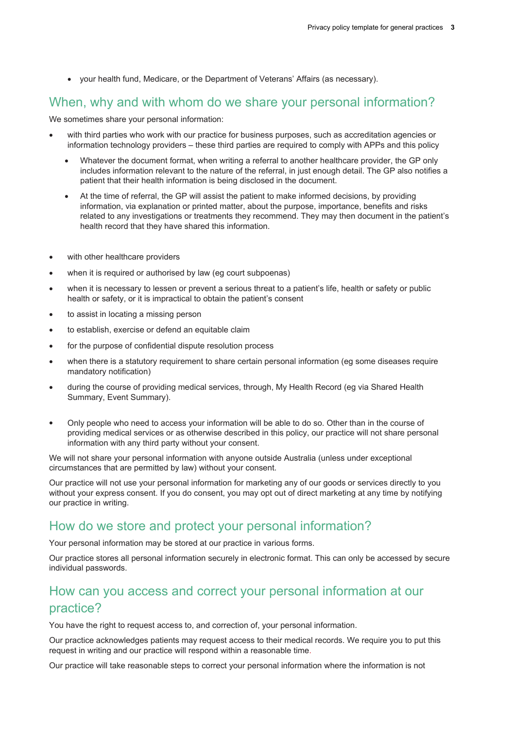your health fund, Medicare, or the Department of Veterans' Affairs (as necessary).

### When, why and with whom do we share your personal information?

We sometimes share your personal information:

- with third parties who work with our practice for business purposes, such as accreditation agencies or information technology providers – these third parties are required to comply with APPs and this policy
	- Whatever the document format, when writing a referral to another healthcare provider, the GP only includes information relevant to the nature of the referral, in just enough detail. The GP also notifies a patient that their health information is being disclosed in the document.
	- At the time of referral, the GP will assist the patient to make informed decisions, by providing information, via explanation or printed matter, about the purpose, importance, benefits and risks related to any investigations or treatments they recommend. They may then document in the patient's health record that they have shared this information.
- with other healthcare providers
- when it is required or authorised by law (eg court subpoenas)
- when it is necessary to lessen or prevent a serious threat to a patient's life, health or safety or public health or safety, or it is impractical to obtain the patient's consent
- to assist in locating a missing person
- to establish, exercise or defend an equitable claim
- for the purpose of confidential dispute resolution process
- when there is a statutory requirement to share certain personal information (eg some diseases require mandatory notification)
- during the course of providing medical services, through, My Health Record (eg via Shared Health Summary, Event Summary).
- Only people who need to access your information will be able to do so. Other than in the course of providing medical services or as otherwise described in this policy, our practice will not share personal information with any third party without your consent.

We will not share your personal information with anyone outside Australia (unless under exceptional circumstances that are permitted by law) without your consent.

Our practice will not use your personal information for marketing any of our goods or services directly to you without your express consent. If you do consent, you may opt out of direct marketing at any time by notifying our practice in writing.

#### How do we store and protect your personal information?

Your personal information may be stored at our practice in various forms.

Our practice stores all personal information securely in electronic format. This can only be accessed by secure individual passwords.

# How can you access and correct your personal information at our practice?

You have the right to request access to, and correction of, your personal information.

Our practice acknowledges patients may request access to their medical records. We require you to put this request in writing and our practice will respond within a reasonable time. Our practice will take reasonable steps to correct your personal information where the information is not